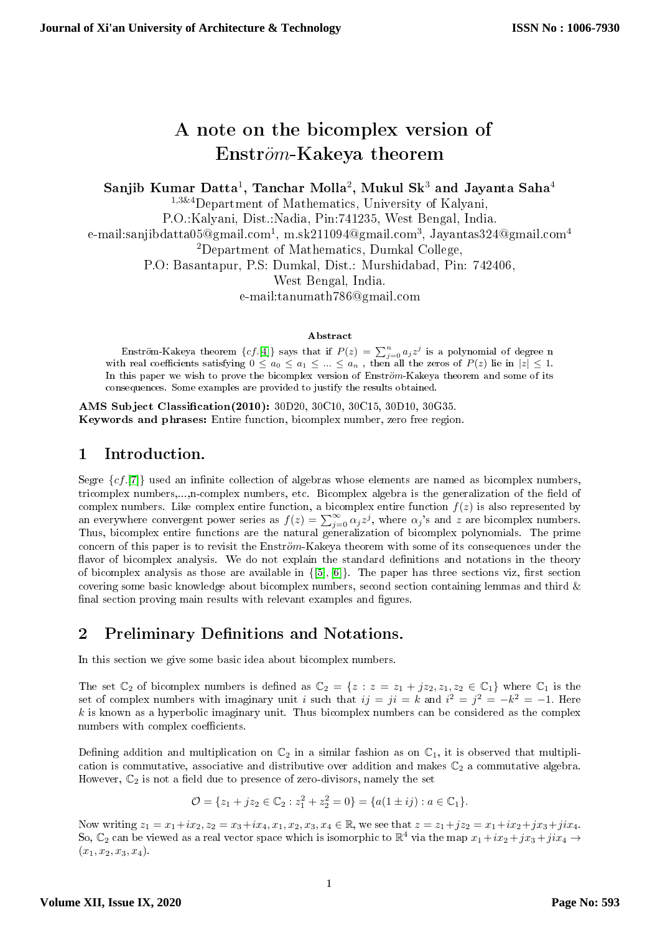# A note on the bicomplex version of  $Enström-Kakeya$  theorem

Sanjib Kumar Datta $^1\!$ , Tanchar Molla $^2\!$ , Mukul Sk $^3$  and Jayanta Saha $^4$ 

<sup>1</sup>,3&4Department of Mathematics, University of Kalyani,

P.O.:Kalyani, Dist.:Nadia, Pin:741235, West Bengal, India.

e-mail:sanjibdatta $05@$ gmail.com $^1$ , m.sk $211094@$ gmail.com $^3$ , Jayantas $324@$ gmail.com $^4$ 

<sup>2</sup>Department of Mathematics, Dumkal College,

P.O: Basantapur, P.S: Dumkal, Dist.: Murshidabad, Pin: 742406,

West Bengal, India.

e-mail:tanumath786@gmail.com

#### Abstract

Enström-Kakeya theorem  $\{cf.[4]\}$  $\{cf.[4]\}$  $\{cf.[4]\}$  says that if  $P(z)\,=\, \sum_{j=0}^n a_j z^j$  is a polynomial of degree n with real coefficients satisfying  $0 \le a_0 \le a_1 \le ... \le a_n$  , then all the zeros of  $P(z)$  lie in  $|z| \le 1$ . In this paper we wish to prove the bicomplex version of Enström-Kakeya theorem and some of its consequences. Some examples are provided to justify the results obtained.

AMS Subject Classification(2010): 30D20, 30C10, 30C15, 30D10, 30G35. Keywords and phrases: Entire function, bicomplex number, zero free region.

# 1 Introduction.

Segre  $\{cf. [7]\}$  $\{cf. [7]\}$  $\{cf. [7]\}$  used an infinite collection of algebras whose elements are named as bicomplex numbers, tricomplex numbers,...,n-complex numbers, etc. Bicomplex algebra is the generalization of the field of complex numbers. Like complex entire function, a bicomplex entire function  $f(z)$  is also represented by an everywhere convergent power series as  $f(z) = \sum_{j=0}^{\infty} \alpha_j z^j$ , where  $\alpha_j$ 's and z are bicomplex numbers. Thus, bicomplex entire functions are the natural generalization of bicomplex polynomials. The prime concern of this paper is to revisit the Enström–Kakeya theorem with some of its consequences under the flavor of bicomplex analysis. We do not explain the standard definitions and notations in the theory of bicomplex analysis as those are available in  $\{[5], [6]\}$  $\{[5], [6]\}$  $\{[5], [6]\}$  $\{[5], [6]\}$  $\{[5], [6]\}$ . The paper has three sections viz, first section covering some basic knowledge about bicomplex numbers, second section containing lemmas and third & final section proving main results with relevant examples and figures.

# 2 Preliminary Definitions and Notations.

In this section we give some basic idea about bicomplex numbers.

The set  $\mathbb{C}_2$  of bicomplex numbers is defined as  $\mathbb{C}_2 = \{z : z = z_1 + jz_2, z_1, z_2 \in \mathbb{C}_1\}$  where  $\mathbb{C}_1$  is the set of complex numbers with imaginary unit i such that  $ij = ji = k$  and  $i^2 = j^2 = -k^2 = -1$ . Here  $k$  is known as a hyperbolic imaginary unit. Thus bicomplex numbers can be considered as the complex numbers with complex coefficients.

Defining addition and multiplication on  $\mathbb{C}_2$  in a similar fashion as on  $\mathbb{C}_1$ , it is observed that multiplication is commutative, associative and distributive over addition and makes  $\mathbb{C}_2$  a commutative algebra. However,  $\mathbb{C}_2$  is not a field due to presence of zero-divisors, namely the set

$$
\mathcal{O} = \{z_1 + jz_2 \in \mathbb{C}_2 : z_1^2 + z_2^2 = 0\} = \{a(1 \pm ij) : a \in \mathbb{C}_1\}.
$$

Now writing  $z_1 = x_1 + ix_2$ ,  $z_2 = x_3 + ix_4$ ,  $x_1, x_2, x_3, x_4 \in \mathbb{R}$ , we see that  $z = z_1 + jz_2 = x_1 + ix_2 + jx_3 + jix_4$ . So,  $\mathbb{C}_2$  can be viewed as a real vector space which is isomorphic to  $\mathbb{R}^4$  via the map  $x_1+ix_2+jx_3+jix_4\to 0$  $(x_1, x_2, x_3, x_4).$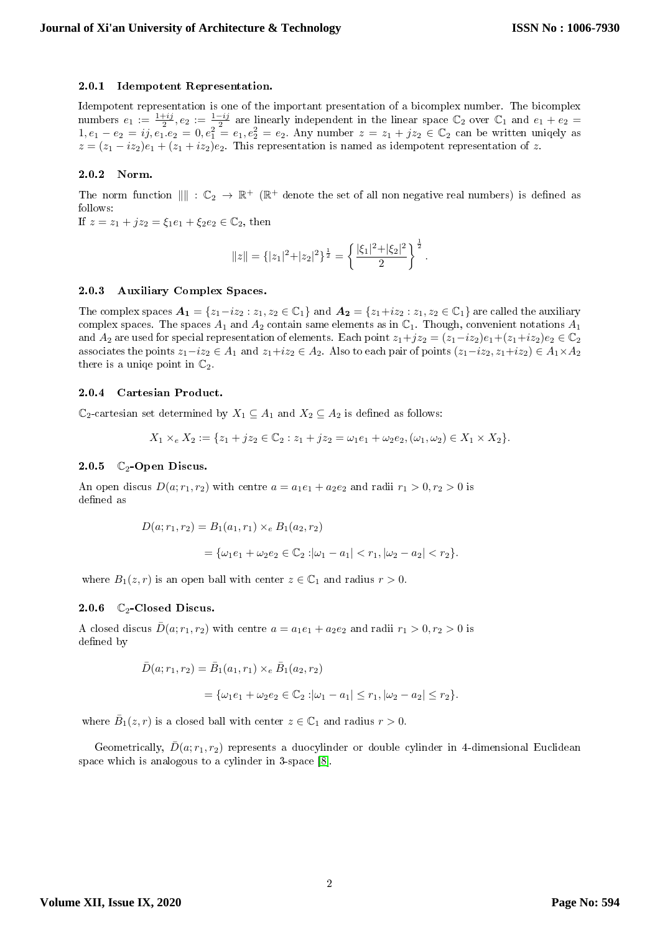#### 2.0.1 Idempotent Representation.

Idempotent representation is one of the important presentation of a bicomplex number. The bicomplex numbers  $e_1 := \frac{1+ij}{2}, e_2 := \frac{1-ij}{2}$  are linearly independent in the linear space  $\mathbb{C}_2$  over  $\mathbb{C}_1$  and  $e_1 + e_2 =$  $1, e_1 - e_2 = i j, e_1 e_2 = 0, e_1^2 = e_1, e_2^2 = e_2$ . Any number  $z = z_1 + j z_2 \in \mathbb{C}_2$  can be written uniqely as  $z = (z_1 - iz_2)e_1 + (z_1 + iz_2)e_2$ . This representation is named as idempotent representation of z.

#### 2.0.2 Norm.

The norm function  $\| \| : \mathbb{C}_2 \to \mathbb{R}^+$  ( $\mathbb{R}^+$  denote the set of all non negative real numbers) is defined as follows:

If  $z = z_1 + jz_2 = \xi_1e_1 + \xi_2e_2 \in \mathbb{C}_2$ , then

$$
||z|| = \{ |z_1|^2 + |z_2|^2 \}^{\frac{1}{2}} = \left\{ \frac{|\xi_1|^2 + |\xi_2|^2}{2} \right\}^{\frac{1}{2}}.
$$

#### 2.0.3 Auxiliary Complex Spaces.

The complex spaces  $A_1 = \{z_1 - iz_2 : z_1, z_2 \in \mathbb{C}_1\}$  and  $A_2 = \{z_1 + iz_2 : z_1, z_2 \in \mathbb{C}_1\}$  are called the auxiliary complex spaces. The spaces  $A_1$  and  $A_2$  contain same elements as in  $\mathbb{C}_1$ . Though, convenient notations  $A_1$ and  $A_2$  are used for special representation of elements. Each point  $z_1+jz_2 = (z_1-iz_2)e_1+(z_1+iz_2)e_2 \in \mathbb{C}_2$ associates the points  $z_1 - iz_2 \in A_1$  and  $z_1 + iz_2 \in A_2$ . Also to each pair of points  $(z_1 - iz_2, z_1 + iz_2) \in A_1 \times A_2$ there is a unique point in  $\mathbb{C}_2$ .

#### 2.0.4 Cartesian Product.

 $\mathbb{C}_2$ -cartesian set determined by  $X_1 \subseteq A_1$  and  $X_2 \subseteq A_2$  is defined as follows:

$$
X_1 \times_e X_2 := \{ z_1 + j z_2 \in \mathbb{C}_2 : z_1 + j z_2 = \omega_1 e_1 + \omega_2 e_2, (\omega_1, \omega_2) \in X_1 \times X_2 \}.
$$

#### 2.0.5  $\mathbb{C}_2$ -Open Discus.

An open discus  $D(a; r_1, r_2)$  with centre  $a = a_1e_1 + a_2e_2$  and radii  $r_1 > 0, r_2 > 0$  is defined as

$$
D(a; r_1, r_2) = B_1(a_1, r_1) \times_e B_1(a_2, r_2)
$$
  
=  $\{\omega_1 e_1 + \omega_2 e_2 \in \mathbb{C}_2 : |\omega_1 - a_1| < r_1, |\omega_2 - a_2| < r_2\}.$ 

where  $B_1(z,r)$  is an open ball with center  $z \in \mathbb{C}_1$  and radius  $r > 0$ .

#### 2.0.6  $\mathbb{C}_2$ -Closed Discus.

A closed discus  $\bar{D}(a; r_1, r_2)$  with centre  $a = a_1e_1 + a_2e_2$  and radii  $r_1 > 0, r_2 > 0$  is defined by

$$
\begin{aligned} \bar{D}(a; r_1, r_2) &= \bar{B}_1(a_1, r_1) \times_e \bar{B}_1(a_2, r_2) \\ &= \{ \omega_1 e_1 + \omega_2 e_2 \in \mathbb{C}_2 : |\omega_1 - a_1| \le r_1, |\omega_2 - a_2| \le r_2 \}. \end{aligned}
$$

where  $\bar{B}_1(z,r)$  is a closed ball with center  $z \in \mathbb{C}_1$  and radius  $r > 0$ .

Geometrically,  $\bar{D}(a; r_1, r_2)$  represents a duocylinder or double cylinder in 4-dimensional Euclidean space which is analogous to a cylinder in 3-space [\[8\]](#page-10-4).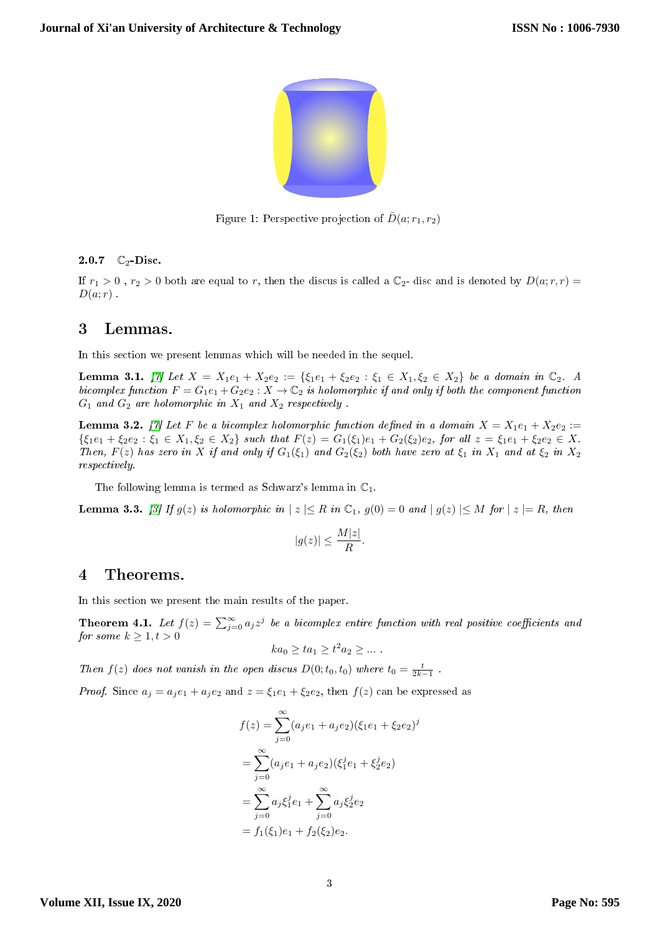

Figure 1: Perspective projection of  $\bar{D}(a; r_1, r_2)$ 

#### 2.0.7  $\mathbb{C}_2$ -Disc.

If  $r_1 > 0$ ,  $r_2 > 0$  both are equal to r, then the discus is called a  $\mathbb{C}_2$ - disc and is denoted by  $D(a; r, r)$  $D(a;r)$ .

### 3 Lemmas.

In this section we present lemmas which will be needed in the sequel.

<span id="page-2-0"></span>Lemma 3.1. [\[7\]](#page-10-1) Let  $X = X_1e_1 + X_2e_2 := \{\xi_1e_1 + \xi_2e_2 : \xi_1 \in X_1, \xi_2 \in X_2\}$  be a domain in  $\mathbb{C}_2$ . A bicomplex function  $F = G_1e_1 + G_2e_2$ :  $X \to \mathbb{C}_2$  is holomorphic if and only if both the component function  $G_1$  and  $G_2$  are holomorphic in  $X_1$  and  $X_2$  respectively.

<span id="page-2-2"></span>**Lemma 3.2.** [\[7\]](#page-10-1) Let F be a bicomplex holomorphic function defined in a domain  $X = X_1e_1 + X_2e_2$  :=  ${\{\xi_1e_1 + \xi_2e_2 : \xi_1 \in X_1, \xi_2 \in X_2\}}$  such that  $F(z) = G_1(\xi_1)e_1 + G_2(\xi_2)e_2$ , for all  $z = \xi_1e_1 + \xi_2e_2 \in X$ . Then,  $F(z)$  has zero in X if and only if  $G_1(\xi_1)$  and  $G_2(\xi_2)$  both have zero at  $\xi_1$  in  $X_1$  and at  $\xi_2$  in  $X_2$ respectively.

The following lemma is termed as Schwarz's lemma in  $\mathbb{C}_1$ .

<span id="page-2-1"></span>**Lemma 3.3.** [\[3\]](#page-10-5) If  $g(z)$  is holomorphic in  $|z| \leq R$  in  $\mathbb{C}_1$ ,  $g(0) = 0$  and  $|g(z)| \leq M$  for  $|z| = R$ , then

$$
|g(z)| \le \frac{M|z|}{R}.
$$

### 4 Theorems.

In this section we present the main results of the paper.

<span id="page-2-3"></span>**Theorem 4.1.** Let  $f(z) = \sum_{j=0}^{\infty} a_j z^j$  be a bicomplex entire function with real positive coefficients and for some  $k \geq 1, t > 0$ 

$$
ka_0 \ge ta_1 \ge t^2 a_2 \ge \dots
$$

Then  $f(z)$  does not vanish in the open discus  $D(0; t_0, t_0)$  where  $t_0 = \frac{t}{2k-1}$ .

*Proof.* Since  $a_i = a_i e_1 + a_i e_2$  and  $z = \xi_1 e_1 + \xi_2 e_2$ , then  $f(z)$  can be expressed as

$$
f(z) = \sum_{j=0}^{\infty} (a_j e_1 + a_j e_2)(\xi_1 e_1 + \xi_2 e_2)^j
$$
  
= 
$$
\sum_{j=0}^{\infty} (a_j e_1 + a_j e_2)(\xi_1^j e_1 + \xi_2^j e_2)
$$
  
= 
$$
\sum_{j=0}^{\infty} a_j \xi_1^j e_1 + \sum_{j=0}^{\infty} a_j \xi_2^j e_2
$$
  
= 
$$
f_1(\xi_1) e_1 + f_2(\xi_2) e_2.
$$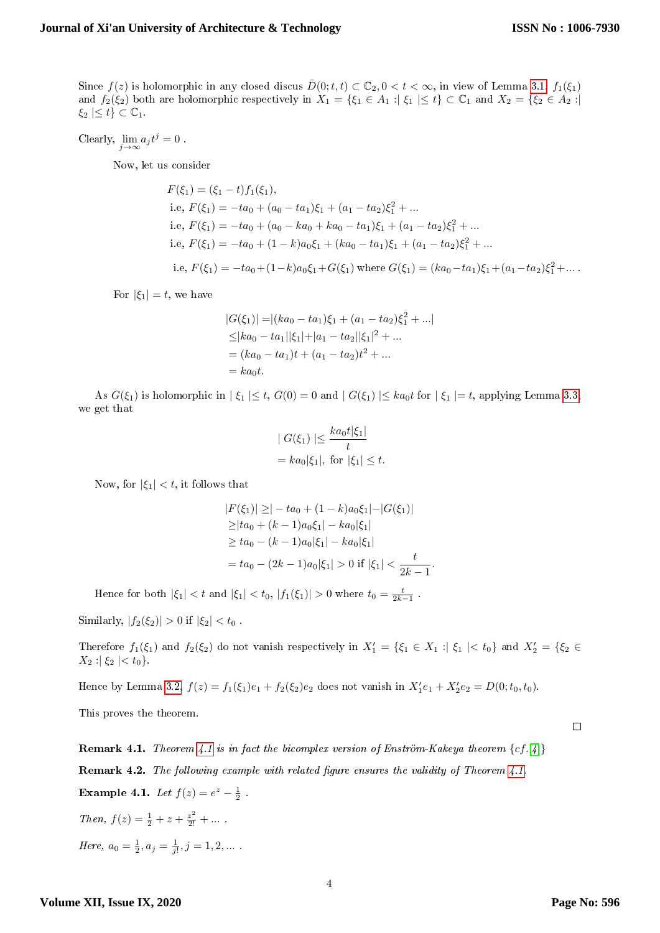Since  $f(z)$  is holomorphic in any closed discus  $\bar{D}(0; t, t) \subset \mathbb{C}_2, 0 < t < \infty$ , in view of Lemma [3.1,](#page-2-0)  $f_1(\xi_1)$ and  $f_2(\xi_2)$  both are holomorphic respectively in  $X_1 = \{\xi_1 \in A_1 : |\xi_1| \le t\} \subset \mathbb{C}_1$  and  $X_2 = \{\xi_2 \in A_2 : |\xi_1| \le t\}$  $\xi_2 \leq t \leq \mathbb{C}_1.$ 

Clearly,  $\lim_{j \to \infty} a_j t^j = 0$ .

Now, let us consider

$$
F(\xi_1) = (\xi_1 - t) f_1(\xi_1),
$$
  
i.e,  $F(\xi_1) = -ta_0 + (a_0 - ta_1)\xi_1 + (a_1 - ta_2)\xi_1^2 + ...$   
i.e,  $F(\xi_1) = -ta_0 + (a_0 - ka_0 + ka_0 - ta_1)\xi_1 + (a_1 - ta_2)\xi_1^2 + ...$   
i.e,  $F(\xi_1) = -ta_0 + (1 - k)a_0\xi_1 + (ka_0 - ta_1)\xi_1 + (a_1 - ta_2)\xi_1^2 + ...$   
i.e,  $F(\xi_1) = -ta_0 + (1 - k)a_0\xi_1 + G(\xi_1)$  where  $G(\xi_1) = (ka_0 - ta_1)\xi_1 + (a_1 - ta_2)\xi_1^2 + ...$ 

For  $|\xi_1| = t$ , we have

$$
|G(\xi_1)| = |(ka_0 - ta_1)\xi_1 + (a_1 - ta_2)\xi_1^2 + \dots|
$$
  
\n
$$
\leq |ka_0 - ta_1||\xi_1| + |a_1 - ta_2||\xi_1|^2 + \dots
$$
  
\n
$$
= (ka_0 - ta_1)t + (a_1 - ta_2)t^2 + \dots
$$
  
\n
$$
= ka_0t.
$$

As  $G(\xi_1)$  is holomorphic in  $|\xi_1| \leq t$ ,  $G(0) = 0$  and  $|G(\xi_1)| \leq ka_0t$  for  $|\xi_1| = t$ , applying Lemma [3.3,](#page-2-1) we get that

$$
|G(\xi_1)| \leq \frac{ka_0t|\xi_1|}{t}
$$
  
=  $ka_0|\xi_1|$ , for  $|\xi_1| \leq t$ .

Now, for  $|\xi_1| < t$ , it follows that

$$
|F(\xi_1)| \geq |-ta_0 + (1 - k)a_0\xi_1| - |G(\xi_1)|
$$
  
\n
$$
\geq |ta_0 + (k - 1)a_0\xi_1| - ka_0|\xi_1|
$$
  
\n
$$
\geq ta_0 - (k - 1)a_0|\xi_1| - ka_0|\xi_1|
$$
  
\n
$$
= ta_0 - (2k - 1)a_0|\xi_1| > 0 \text{ if } |\xi_1| < \frac{t}{2k - 1}.
$$

Hence for both  $|\xi_1| < t$  and  $|\xi_1| < t_0$ ,  $|f_1(\xi_1)| > 0$  where  $t_0 = \frac{t}{2k-1}$ .

Similarly,  $|f_2(\xi_2)| > 0$  if  $|\xi_2| < t_0$ .

Therefore  $f_1(\xi_1)$  and  $f_2(\xi_2)$  do not vanish respectively in  $X_1' = \{\xi_1 \in X_1 : |\xi_1| < t_0\}$  and  $X_2' = \{\xi_2 \in X_1 : |\xi_1| < t_0\}$  $X_2$  :  $|\xi_2| < t_0$ .

Hence by Lemma [3.2,](#page-2-2)  $f(z) = f_1(\xi_1)e_1 + f_2(\xi_2)e_2$  does not vanish in  $X'_1e_1 + X'_2e_2 = D(0; t_0, t_0)$ .

This proves the theorem.

**Remark [4.1](#page-2-3).** Theorem [4](#page-10-0).1 is in fact the bicomplex version of Enström-Kakeya theorem  $\{cf. [4]\}$ Remark 4.2. The following example with related figure ensures the validity of Theorem [4.1.](#page-2-3) **Example 4.1.** Let  $f(z) = e^z - \frac{1}{2}$ . Then,  $f(z) = \frac{1}{2} + z + \frac{z^2}{2!} + \dots$ . Here,  $a_0 = \frac{1}{2}, a_j = \frac{1}{j!}, j = 1, 2, ...$ 

 $\Box$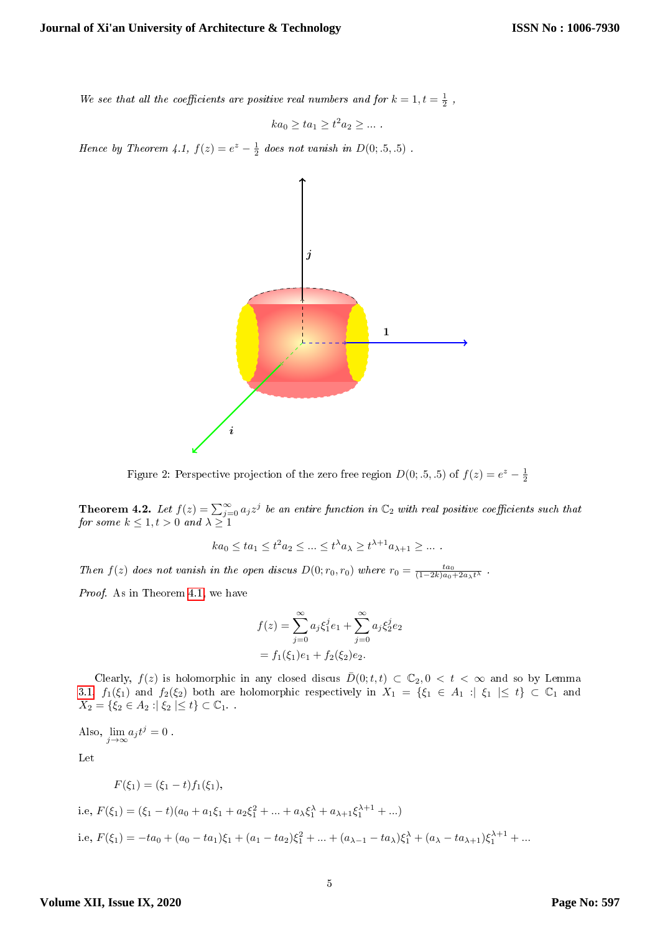We see that all the coefficients are positive real numbers and for  $k = 1, t = \frac{1}{2}$ ,

$$
ka_0 \ge ta_1 \ge t^2 a_2 \ge \dots
$$

Hence by Theorem 4.1,  $f(z) = e^z - \frac{1}{2}$  does not vanish in  $D(0; .5, .5)$ .



Figure 2: Perspective projection of the zero free region  $D(0; .5, .5)$  of  $f(z) = e^z - \frac{1}{2}$ 

<span id="page-4-0"></span>**Theorem 4.2.** Let  $f(z) = \sum_{j=0}^{\infty} a_j z^j$  be an entire function in  $\mathbb{C}_2$  with real positive coefficients such that for some  $k \leq 1, t > 0$  and  $\lambda \geq 1$ 

$$
ka_0 \le ta_1 \le t^2 a_2 \le \dots \le t^{\lambda} a_{\lambda} \ge t^{\lambda+1} a_{\lambda+1} \ge \dots
$$

Then  $f(z)$  does not vanish in the open discus  $D(0;r_0,r_0)$  where  $r_0 = \frac{ta_0}{(1-2k)a_0+2a_\lambda t^\lambda}$ .

Proof. As in Theorem [4.1,](#page-2-3) we have

$$
f(z) = \sum_{j=0}^{\infty} a_j \xi_1^j e_1 + \sum_{j=0}^{\infty} a_j \xi_2^j e_2
$$
  
=  $f_1(\xi_1)e_1 + f_2(\xi_2)e_2$ .

Clearly,  $f(z)$  is holomorphic in any closed discus  $\overline{D}(0; t, t) \subset \mathbb{C}_2, 0 < t < \infty$  and so by Lemma [3.1,](#page-2-0)  $f_1(\xi_1)$  and  $f_2(\xi_2)$  both are holomorphic respectively in  $X_1 = \{\xi_1 \in A_1 : \xi_1 \leq \xi_1 \in \mathbb{C}_1 \text{ and } \xi_2 \leq \xi_2 \}$  $X_2 = \{ \xi_2 \in A_2 : |\xi_2| \le t \} \subset \mathbb{C}_1.$ 

Also,  $\lim_{j\to\infty} a_j t^j = 0$ .

Let

$$
F(\xi_1) = (\xi_1 - t) f_1(\xi_1),
$$
  
i.e,  $F(\xi_1) = (\xi_1 - t) (a_0 + a_1 \xi_1 + a_2 \xi_1^2 + ... + a_\lambda \xi_1^\lambda + a_{\lambda+1} \xi_1^{\lambda+1} + ...)$   
i.e,  $F(\xi_1) = -ta_0 + (a_0 - ta_1)\xi_1 + (a_1 - ta_2)\xi_1^2 + ... + (a_{\lambda-1} - ta_\lambda)\xi_1^\lambda + (a_\lambda - ta_{\lambda+1})\xi_1^{\lambda+1} + ...$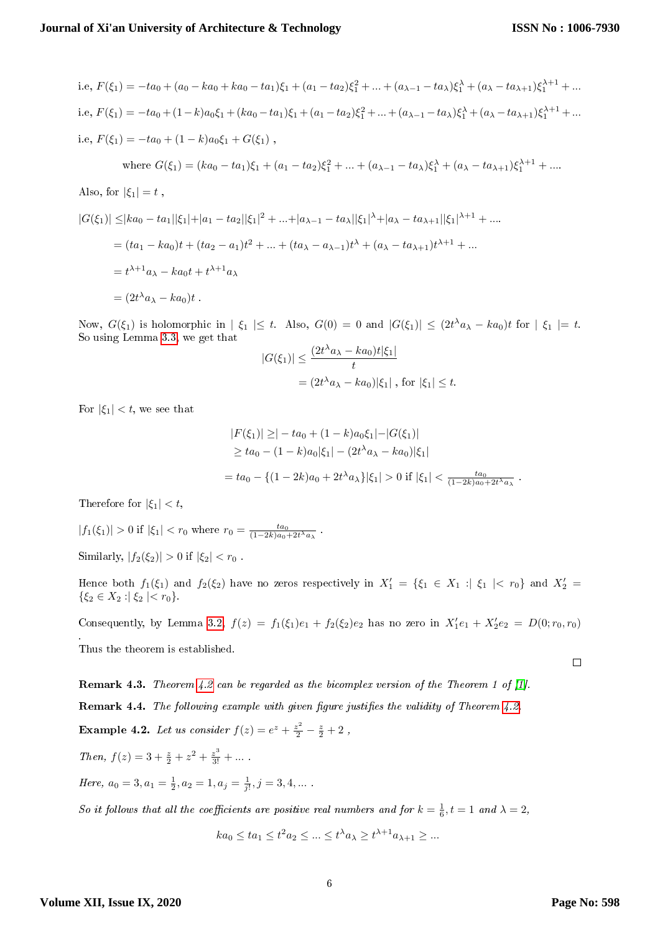i.e, 
$$
F(\xi_1) = -ta_0 + (a_0 - ka_0 + ka_0 - ta_1)\xi_1 + (a_1 - ta_2)\xi_1^2 + \dots + (a_{\lambda-1} - ta_{\lambda})\xi_1^{\lambda} + (a_{\lambda} - ta_{\lambda+1})\xi_1^{\lambda+1} + \dots
$$
  
\ni.e,  $F(\xi_1) = -ta_0 + (1 - k)a_0\xi_1 + (ka_0 - ta_1)\xi_1 + (a_1 - ta_2)\xi_1^2 + \dots + (a_{\lambda-1} - ta_{\lambda})\xi_1^{\lambda} + (a_{\lambda} - ta_{\lambda+1})\xi_1^{\lambda+1} + \dots$   
\ni.e,  $F(\xi_1) = -ta_0 + (1 - k)a_0\xi_1 + G(\xi_1)$ ,  
\nwhere  $G(\xi_1) = (ka_0 - ta_1)\xi_1 + (a_1 - ta_2)\xi_1^2 + \dots + (a_{\lambda-1} - ta_{\lambda})\xi_1^{\lambda} + (a_{\lambda} - ta_{\lambda+1})\xi_1^{\lambda+1} + \dots$   
\nAlso, for  $|\xi_1| = t$ ,  
\n $|G(\xi_1)| \leq |ka_0 - ta_1||\xi_1| + |a_1 - ta_2||\xi_1|^2 + \dots + |a_{\lambda-1} - ta_{\lambda}||\xi_1|^{\lambda} + |a_{\lambda} - ta_{\lambda+1}||\xi_1|^{\lambda+1} + \dots$   
\n $= (ta_1 - ka_0)t + (ta_2 - a_1)t^2 + \dots + (ta_{\lambda} - a_{\lambda-1})t^{\lambda} + (a_{\lambda} - ta_{\lambda+1})t^{\lambda+1} + \dots$   
\n $= t^{\lambda+1}a_{\lambda} - ka_0t + t^{\lambda+1}a_{\lambda}$   
\n $= (2t^{\lambda}a_{\lambda} - ka_0)t$ .

Now,  $G(\xi_1)$  is holomorphic in  $|\xi_1| \leq t$ . Also,  $G(0) = 0$  and  $|G(\xi_1)| \leq (2t^{\lambda}a_{\lambda} - ka_0)t$  for  $|\xi_1| = t$ . So using Lemma [3.3,](#page-2-1) we get that  $\langle \alpha_1 \lambda \rangle = \vert l_{\alpha\alpha_1} \rangle + |\xi_1|$ 

$$
|G(\xi_1)| \le \frac{(2t^{\lambda}a_{\lambda} - ka_0)t|\xi_1|}{t}
$$
  
=  $(2t^{\lambda}a_{\lambda} - ka_0)|\xi_1|$ , for  $|\xi_1| \le t$ .

For  $|\xi_1| < t$ , we see that

$$
|F(\xi_1)| \geq |-ta_0 + (1 - k)a_0\xi_1| - |G(\xi_1)|
$$
  
\n
$$
\geq ta_0 - (1 - k)a_0|\xi_1| - (2t^{\lambda}a_{\lambda} - ka_0)|\xi_1|
$$
  
\n
$$
= ta_0 - \{(1 - 2k)a_0 + 2t^{\lambda}a_{\lambda}\}|\xi_1| > 0 \text{ if } |\xi_1| < \frac{ta_0}{(1 - 2k)a_0 + 2t^{\lambda}a_{\lambda}}.
$$

Therefore for  $|\xi_1| < t$ ,

$$
|f_1(\xi_1)| > 0
$$
 if  $|\xi_1| < r_0$  where  $r_0 = \frac{ta_0}{(1-2k)a_0 + 2t^{\lambda}a_{\lambda}}$ .

Similarly,  $|f_2(\xi_2)| > 0$  if  $|\xi_2| < r_0$ .

Hence both  $f_1(\xi_1)$  and  $f_2(\xi_2)$  have no zeros respectively in  $X_1' = \{\xi_1 \in X_1 : \xi_1 \mid \xi_1 \mid r_0\}$  and  $X_2' =$  $\{\xi_2 \in X_2 : |\xi_2| < r_0\}.$ 

Consequently, by Lemma [3.2,](#page-2-2)  $f(z) = f_1(\xi_1)e_1 + f_2(\xi_2)e_2$  has no zero in  $X'_1e_1 + X'_2e_2 = D(0; r_0, r_0)$ . Thus the theorem is established.  $\Box$ 

**Remark 4.3.** Theorem [4.2](#page-4-0) can be regarded as the bicomplex version of the Theorem 1 of [\[1\]](#page-10-6).

**Remark 4.4.** The following example with given figure justifies the validity of Theorem  $4.2$ .

**Example 4.2.** Let us consider 
$$
f(z) = e^z + \frac{z^2}{2} - \frac{z}{2} + 2
$$
,

Then,  $f(z) = 3 + \frac{z}{2} + z^2 + \frac{z^3}{3!} + \dots$ 

Here,  $a_0 = 3, a_1 = \frac{1}{2}, a_2 = 1, a_j = \frac{1}{j!}, j = 3, 4, ...$ 

So it follows that all the coefficients are positive real numbers and for  $k = \frac{1}{6}$ ,  $t = 1$  and  $\lambda = 2$ ,

$$
ka_0 \le ta_1 \le t^2 a_2 \le \dots \le t^{\lambda} a_{\lambda} \ge t^{\lambda+1} a_{\lambda+1} \ge \dots
$$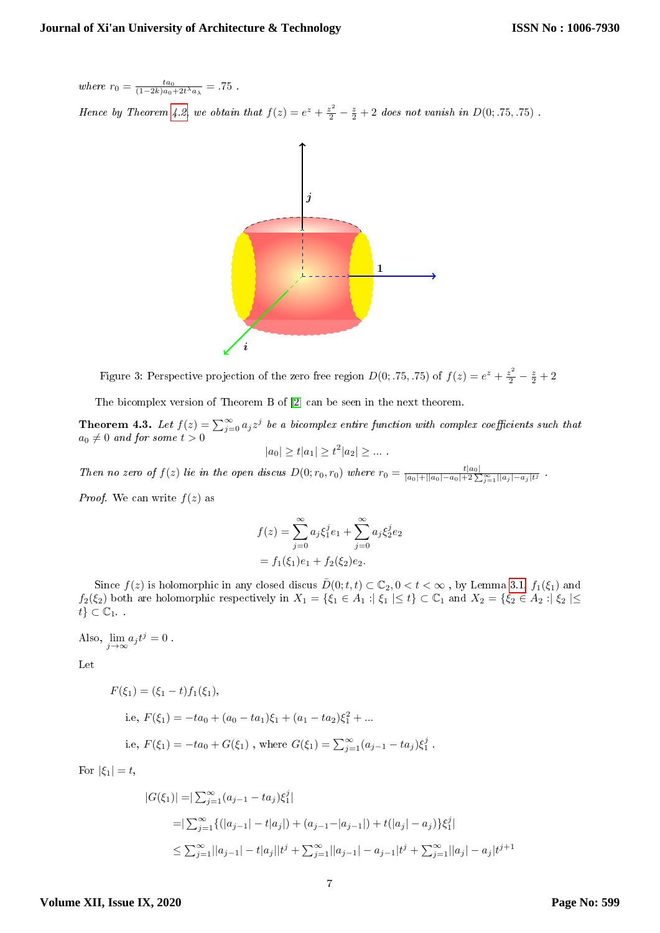where  $r_0 = \frac{ta_0}{(1-2k)a_0+2t^{\lambda}a_{\lambda}} = .75$ .

Hence by Theorem [4.2,](#page-4-0) we obtain that  $f(z) = e^z + \frac{z^2}{2} - \frac{z}{2} + 2$  does not vanish in  $D(0; .75, .75)$ .



Figure 3: Perspective projection of the zero free region  $D(0; .75, .75)$  of  $f(z) = e^z + \frac{z^2}{2} - \frac{z}{2} + 2$ 

The bicomplex version of Theorem B of [\[2\]](#page-10-7) can be seen in the next theorem.

<span id="page-6-0"></span>**Theorem 4.3.** Let  $f(z) = \sum_{j=0}^{\infty} a_j z^j$  be a bicomplex entire function with complex coefficients such that  $a_0 \neq 0$  and for some  $t > 0$  $|a_0| \ge t |a_1| \ge t^2 |a_2| \ge \dots$ 

Then no zero of  $f(z)$  lie in the open discus  $D(0;r_0,r_0)$  where  $r_0 = \frac{t|a_0|}{|a_0|+||a_0|-a_0|+2\sum_{j=1}^{\infty}||a_j|-a_j|t^j}$ .

*Proof.* We can write  $f(z)$  as

$$
f(z) = \sum_{j=0}^{\infty} a_j \xi_1^j e_1 + \sum_{j=0}^{\infty} a_j \xi_2^j e_2
$$
  
=  $f_1(\xi_1)e_1 + f_2(\xi_2)e_2$ .

Since  $f(z)$  is holomorphic in any closed discus  $\overline{D}(0; t, t) \subset \mathbb{C}_2, 0 < t < \infty$ , by Lemma [3.1,](#page-2-0)  $f_1(\xi_1)$  and  $f_2(\xi_2)$  both are holomorphic respectively in  $X_1 = \{\xi_1 \in A_1 : |\xi_1| \le t\} \subset \mathbb{C}_1$  and  $X_2 = \{\xi_2 \in A_2 : |\xi_2| \le t\}$  $t\} \subset \mathbb{C}_1$ .

Also,  $\lim_{j \to \infty} a_j t^j = 0$ .

Let

$$
F(\xi_1) = (\xi_1 - t) f_1(\xi_1),
$$
  
i.e,  $F(\xi_1) = -ta_0 + (a_0 - ta_1)\xi_1 + (a_1 - ta_2)\xi_1^2 + ...$   
i.e,  $F(\xi_1) = -ta_0 + G(\xi_1)$ , where  $G(\xi_1) = \sum_{j=1}^{\infty} (a_{j-1} - ta_j)\xi_1^j$ 

For  $|\xi_1| = t$ ,

$$
|G(\xi_1)| = |\sum_{j=1}^{\infty} (a_{j-1} - ta_j)\xi_1^j|
$$
  
=  $|\sum_{j=1}^{\infty} \{(|a_{j-1}| - t|a_j|) + (a_{j-1} - |a_{j-1}|) + t(|a_j| - a_j)\}\xi_1^j|$   
 $\leq \sum_{j=1}^{\infty} ||a_{j-1}| - t|a_j||t^j + \sum_{j=1}^{\infty} ||a_{j-1}| - a_{j-1}|t^j + \sum_{j=1}^{\infty} ||a_j| - a_j|t^{j+1}$ 

.

#### **Volume XII, Issue IX, 2020**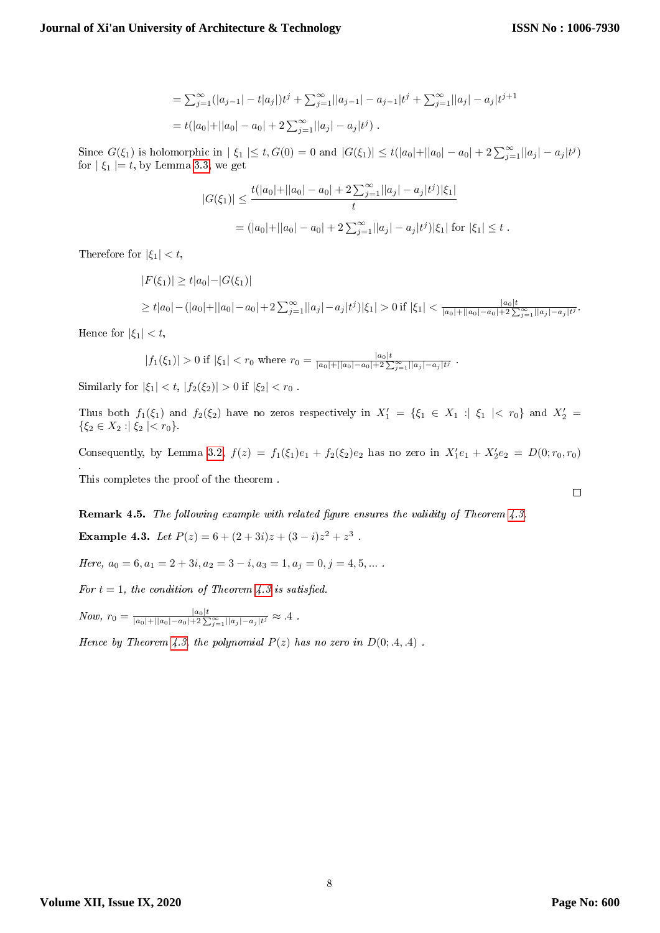$$
= \sum_{j=1}^{\infty} (|a_{j-1}| - t|a_j|)t^j + \sum_{j=1}^{\infty} ||a_{j-1}| - a_{j-1}|t^j + \sum_{j=1}^{\infty} ||a_j| - a_j|t^{j+1}
$$
  
=  $t(|a_0| + ||a_0| - a_0| + 2\sum_{j=1}^{\infty} ||a_j| - a_j|t^j)$ .

Since  $G(\xi_1)$  is holomorphic in  $|\xi_1| \le t$ ,  $G(0) = 0$  and  $|G(\xi_1)| \le t(|a_0| + ||a_0| - a_0| + 2\sum_{j=1}^{\infty}||a_j| - a_j|t^j)$ for  $|\xi_1| = t$ , by Lemma [3.3,](#page-2-1) we get

$$
|G(\xi_1)| \le \frac{t(|a_0| + ||a_0| - a_0| + 2\sum_{j=1}^{\infty} ||a_j| - a_j|t^j)|\xi_1|}{t}
$$
  
= 
$$
(|a_0| + ||a_0| - a_0| + 2\sum_{j=1}^{\infty} ||a_j| - a_j|t^j)|\xi_1| \text{ for } |\xi_1| \le t.
$$

Therefore for  $|\xi_1| < t$ ,

$$
|F(\xi_1)| \ge t|a_0| - |G(\xi_1)|
$$
  
\n
$$
\ge t|a_0| - (|a_0| + ||a_0| - a_0| + 2\sum_{j=1}^{\infty} ||a_j| - a_j|t^j)|\xi_1| > 0 \text{ if } |\xi_1| < \frac{|a_0|t}{|a_0| + ||a_0| - a_0| + 2\sum_{j=1}^{\infty} ||a_j| - a_j|t^j}.
$$

Hence for  $|\xi_1| < t$ ,

$$
|f_1(\xi_1)| > 0
$$
 if  $|\xi_1| < r_0$  where  $r_0 = \frac{|a_0|t}{|a_0| + ||a_0| - a_0| + 2\sum_{j=1}^{\infty}||a_j| - a_j|t^j}$ .

Similarly for  $|\xi_1| < t$ ,  $|f_2(\xi_2)| > 0$  if  $|\xi_2| < r_0$ .

Thus both  $f_1(\xi_1)$  and  $f_2(\xi_2)$  have no zeros respectively in  $X_1' = \{\xi_1 \in X_1 : |\xi_1| < r_0\}$  and  $X_2' =$  $\{\xi_2 \in X_2 : |\xi_2| < r_0\}.$ 

Consequently, by Lemma [3.2,](#page-2-2)  $f(z) = f_1(\xi_1)e_1 + f_2(\xi_2)e_2$  has no zero in  $X'_1e_1 + X'_2e_2 = D(0; r_0, r_0)$ . This completes the proof of the theorem .

Remark 4.5. The following example with related figure ensures the validity of Theorem [4.3.](#page-6-0) Example 4.3. Let  $P(z) = 6 + (2 + 3i)z + (3 - i)z^2 + z^3$ .

Here,  $a_0 = 6, a_1 = 2 + 3i, a_2 = 3 - i, a_3 = 1, a_j = 0, j = 4, 5, ...$ 

For  $t = 1$ , the condition of Theorem [4.3](#page-6-0) is satisfied.

 $Now, r_0 = \frac{|a_0|t}{|a_0|+||a_0|-a_0|+2\sum_{j=1}^{\infty}||a_j|-a_j|t^j}$  ≈ .4.

Hence by Theorem [4.3,](#page-6-0) the polynomial  $P(z)$  has no zero in  $D(0; .4, .4)$ .

 $\Box$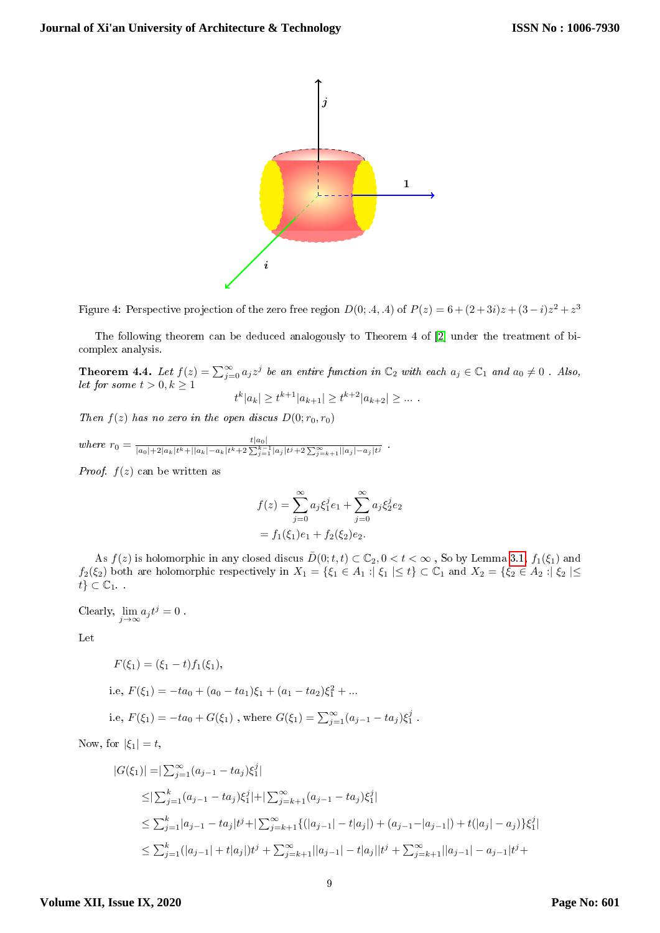

Figure 4: Perspective projection of the zero free region  $D(0; .4, .4)$  of  $P(z) = 6 + (2 + 3i)z + (3 - i)z^2 + z^3$ 

The following theorem can be deduced analogously to Theorem 4 of [\[2\]](#page-10-7) under the treatment of bicomplex analysis.

<span id="page-8-0"></span>**Theorem 4.4.** Let  $f(z) = \sum_{j=0}^{\infty} a_j z^j$  be an entire function in  $\mathbb{C}_2$  with each  $a_j \in \mathbb{C}_1$  and  $a_0 \neq 0$ . Also, let for some  $t > 0, k \geq 1$  $|t^k|a_k| \geq t^{k+1}|a_{k+1}| \geq t^{k+2}|a_{k+2}| \geq \dots$ 

Then 
$$
f(z)
$$
 has no zero in the open discus  $D(0; r_0, r_0)$ 

where 
$$
r_0 = \frac{t|a_0|}{|a_0|+2|a_k|t^k+||a_k|-a_k|t^k+2\sum_{j=1}^{k-1}|a_j|t^j+2\sum_{j=k+1}^{\infty}||a_j|-a_j|t^j}
$$
.

*Proof.*  $f(z)$  can be written as

$$
f(z) = \sum_{j=0}^{\infty} a_j \xi_1^j e_1 + \sum_{j=0}^{\infty} a_j \xi_2^j e_2
$$
  
=  $f_1(\xi_1)e_1 + f_2(\xi_2)e_2$ .

As  $f(z)$  is holomorphic in any closed discus  $\bar{D}(0; t, t) \subset \mathbb{C}_2, 0 < t < \infty$ , So by Lemma [3.1,](#page-2-0)  $f_1(\xi_1)$  and  $f_2(\xi_2)$  both are holomorphic respectively in  $X_1 = \{\xi_1 \in A_1 : \xi_1 \mid \xi_1 \mid \leq t\} \subset \mathbb{C}_1$  and  $X_2 = \{\xi_2 \in A_2 : \xi_2 \mid \leq t\}$  $t\} \subset \mathbb{C}_1$ .

Clearly,  $\lim_{j \to \infty} a_j t^j = 0$ .

Let

$$
F(\xi_1) = (\xi_1 - t) f_1(\xi_1),
$$
  
i.e,  $F(\xi_1) = -ta_0 + (a_0 - ta_1)\xi_1 + (a_1 - ta_2)\xi_1^2 + ...$ 

i.e, 
$$
F(\xi_1) = -ta_0 + G(\xi_1)
$$
, where  $G(\xi_1) = \sum_{j=1}^{\infty} (a_{j-1} - ta_j)\xi_1^j$ .

Now, for  $|\xi_1| = t$ ,

$$
|G(\xi_1)| = |\sum_{j=1}^{\infty} (a_{j-1} - ta_j)\xi_1^j|
$$
  
\n
$$
\leq |\sum_{j=1}^k (a_{j-1} - ta_j)\xi_1^j| + |\sum_{j=k+1}^{\infty} (a_{j-1} - ta_j)\xi_1^j|
$$
  
\n
$$
\leq \sum_{j=1}^k |a_{j-1} - ta_j|t^j + |\sum_{j=k+1}^{\infty} \{(|a_{j-1}| - t|a_j|) + (a_{j-1} - |a_{j-1}|) + t(|a_j| - a_j)\}\xi_1^j|
$$
  
\n
$$
\leq \sum_{j=1}^k (|a_{j-1}| + t|a_j|)t^j + \sum_{j=k+1}^{\infty} ||a_{j-1}| - t|a_j||t^j + \sum_{j=k+1}^{\infty} ||a_{j-1}| - a_{j-1}|t^j +
$$

#### **Volume XII, Issue IX, 2020**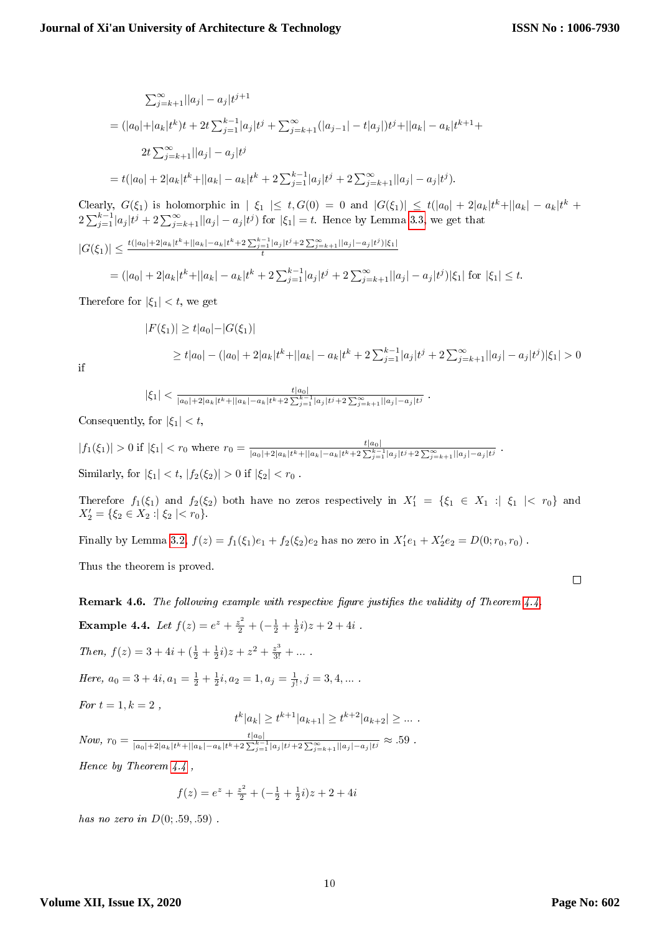$$
\sum_{j=k+1}^{\infty} ||a_j| - a_j|t^{j+1}
$$
  
=  $(|a_0| + |a_k|t^k)t + 2t \sum_{j=1}^{k-1} |a_j|t^j + \sum_{j=k+1}^{\infty} (|a_{j-1}| - t|a_j|)t^j + ||a_k| - a_k|t^{k+1} +$   

$$
2t \sum_{j=k+1}^{\infty} ||a_j| - a_j|t^j
$$
  
=  $t(|a_0| + 2|a_k|t^k + ||a_k| - a_k|t^k + 2 \sum_{j=1}^{k-1} |a_j|t^j + 2 \sum_{j=k+1}^{\infty} ||a_j| - a_j|t^j).$ 

Clearly,  $G(\xi_1)$  is holomorphic in  $|\xi_1| \leq t$ ,  $G(0) = 0$  and  $|G(\xi_1)| \leq t(|a_0| + 2|a_k|t^k + ||a_k| - a_k|t^k +$  $2\sum_{j=1}^{k-1} |a_j| t^j + 2\sum_{j=k+1}^{\infty} ||a_j| - a_j |t^j)$  for  $|\xi_1| = t$ . Hence by Lemma [3.3,](#page-2-1) we get that

$$
|G(\xi_1)| \le \frac{t(|a_0| + 2|a_k|t^k + ||a_k| - a_k|t^k + 2\sum_{j=1}^{k-1} |a_j|t^j + 2\sum_{j=k+1}^{\infty} ||a_j| - a_j|t^j)|\xi_1|}{t}
$$
  
= 
$$
(|a_0| + 2|a_k|t^k + ||a_k| - a_k|t^k + 2\sum_{j=1}^{k-1} |a_j|t^j + 2\sum_{j=k+1}^{\infty} ||a_j| - a_j|t^j)|\xi_1|
$$
 for  $|\xi_1| \le t$ .

Therefore for  $|\xi_1| < t$ , we get

$$
|F(\xi_1)| \ge t|a_0| - |G(\xi_1)|
$$
  
\n
$$
\ge t|a_0| - (|a_0| + 2|a_k|t^k + ||a_k| - a_k|t^k + 2\sum_{j=1}^{k-1} |a_j|t^j + 2\sum_{j=k+1}^{\infty} ||a_j| - a_j|t^j)|\xi_1| > 0
$$

if

$$
|\xi_1| < \frac{t|a_0|}{|a_0| + 2|a_k|t^k + ||a_k| - a_k|t^k + 2\sum_{j=1}^{k-1} |a_j|t^j + 2\sum_{j=k+1}^{\infty} ||a_j| - a_j|t^j}.
$$

Consequently, for  $|\xi_1| < t$ ,

$$
|f_1(\xi_1)| > 0 \text{ if } |\xi_1| < r_0 \text{ where } r_0 = \frac{t|a_0|}{|a_0| + 2|a_k|t^k + ||a_k| - a_k|t^k + 2\sum_{j=1}^{k-1} |a_j|t^j + 2\sum_{j=k+1}^{\infty} ||a_j| - a_j|t^j}.
$$
  
Similarly, for  $|\xi_1| < t$ ,  $|f_2(\xi_2)| > 0$  if  $|\xi_2| < r_0$ .

Therefore  $f_1(\xi_1)$  and  $f_2(\xi_2)$  both have no zeros respectively in  $X'_1 = {\xi_1 \in X_1 : \xi_1 \mid \xi_1 \mid \xi_2 \in X_2}$  and  $X'_2 = \{\xi_2 \in X_2 : |\xi_2| < r_0\}.$ 

Finally by Lemma [3.2,](#page-2-2)  $f(z) = f_1(\xi_1)e_1 + f_2(\xi_2)e_2$  has no zero in  $X'_1e_1 + X'_2e_2 = D(0; r_0, r_0)$ .

Thus the theorem is proved.

**Remark 4.6.** The following example with respective figure justifies the validity of Theorem  $4.4$ .

Example 4.4. Let 
$$
f(z) = e^z + \frac{z^2}{2} + \left(-\frac{1}{2} + \frac{1}{2}i\right)z + 2 + 4i
$$
.  
\nThen,  $f(z) = 3 + 4i + \left(\frac{1}{2} + \frac{1}{2}i\right)z + z^2 + \frac{z^3}{3!} + \dots$ .  
\nHere,  $a_0 = 3 + 4i$ ,  $a_1 = \frac{1}{2} + \frac{1}{2}i$ ,  $a_2 = 1$ ,  $a_j = \frac{1}{j!}$ ,  $j = 3, 4, \dots$ .  
\nFor  $t = 1$ ,  $k = 2$ ,  
\n $t^k |a_k| \ge t^{k+1} |a_{k+1}| \ge t^{k+2} |a_{k+2}| \ge \dots$   
\nNow,  $r_0 = \frac{t |a_0|}{|a_0| + 2|a_k|t^k + |a_k| - a_k|t^k + 2\sum_{j=1}^{k-1} |a_j|t^j + 2\sum_{j=k+1}^{\infty} |a_j| - a_j|t^j} \approx .59$ .

Hence by Theorem [4.4](#page-8-0) ,

$$
f(z) = e^{z} + \frac{z^{2}}{2} + \left(-\frac{1}{2} + \frac{1}{2}i\right)z + 2 + 4i
$$

has no zero in  $D(0; .59, .59)$ .

### **Volume XII, Issue IX, 2020**

 $\dots$  .

 $\Box$